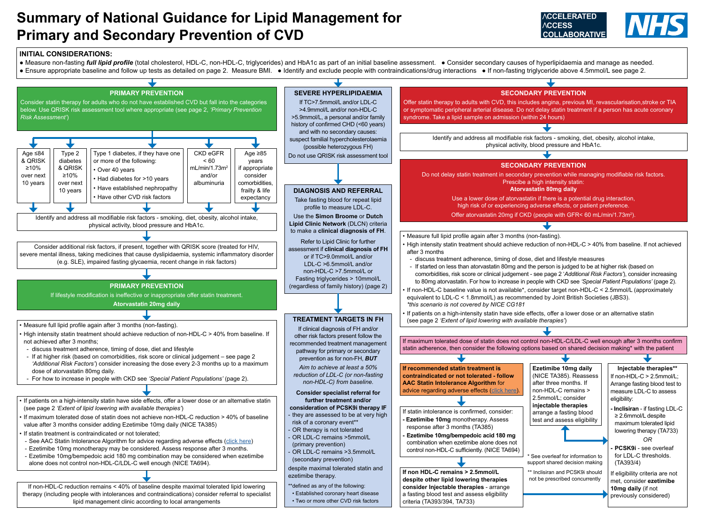# **Summary of National Guidance for Lipid Management for Primary and Secondary Prevention of CVD**

# **INITIAL CONSIDERATIONS:**

● Measure non-fasting *full lipid profile* (total cholesterol, HDL-C, non-HDL-C, triglycerides) and HbA1c as part of an initial baseline assessment. ● Consider secondary causes of hyperlipidaemia and manage as needed. • Ensure appropriate baseline and follow up tests as detailed on page 2. Measure BMI. • Identify and exclude people with contraindications/drug interactions • If non-fasting triglyceride above 4.5mmol/L see page 2.